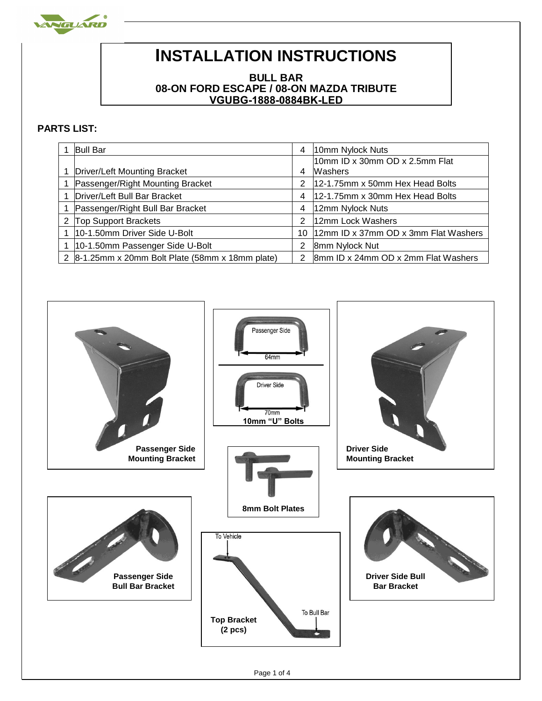

## **INSTALLATION INSTRUCTIONS**

## **BULL BAR 08-ON FORD ESCAPE / 08-ON MAZDA TRIBUTE VGUBG-1888-0884BK-LED**

## **PARTS LIST:**

| <b>Bull Bar</b>                                      | 4  | 10mm Nylock Nuts                     |
|------------------------------------------------------|----|--------------------------------------|
|                                                      |    | l10mm ID x 30mm OD x 2.5mm Flat      |
| Driver/Left Mounting Bracket                         | 4  | Washers                              |
| Passenger/Right Mounting Bracket                     | 2  | 12-1.75mm x 50mm Hex Head Bolts      |
| Driver/Left Bull Bar Bracket                         | 4  | 12-1.75mm x 30mm Hex Head Bolts      |
| Passenger/Right Bull Bar Bracket                     | 4  | 12mm Nylock Nuts                     |
| <b>Top Support Brackets</b>                          | 2  | 12mm Lock Washers                    |
| 10-1.50mm Driver Side U-Bolt                         | 10 | 12mm ID x 37mm OD x 3mm Flat Washers |
| 10-1.50mm Passenger Side U-Bolt                      | 2  | 8mm Nylock Nut                       |
| 2 $ 8-1.25$ mm x 20mm Bolt Plate (58mm x 18mm plate) | 2  | 8mm ID x 24mm OD x 2mm Flat Washers  |

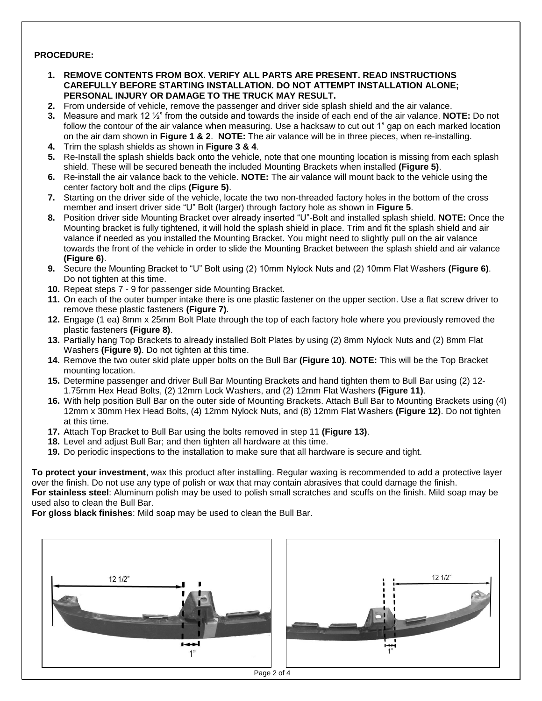## **PROCEDURE:**

- **1. REMOVE CONTENTS FROM BOX. VERIFY ALL PARTS ARE PRESENT. READ INSTRUCTIONS CAREFULLY BEFORE STARTING INSTALLATION. DO NOT ATTEMPT INSTALLATION ALONE; PERSONAL INJURY OR DAMAGE TO THE TRUCK MAY RESULT.**
- **2.** From underside of vehicle, remove the passenger and driver side splash shield and the air valance.
- **3.** Measure and mark 12 ½" from the outside and towards the inside of each end of the air valance. **NOTE:** Do not follow the contour of the air valance when measuring. Use a hacksaw to cut out 1" gap on each marked location on the air dam shown in **Figure 1 & 2**. **NOTE:** The air valance will be in three pieces, when re-installing.
- **4.** Trim the splash shields as shown in **Figure 3 & 4**.
- **5.** Re-Install the splash shields back onto the vehicle, note that one mounting location is missing from each splash shield. These will be secured beneath the included Mounting Brackets when installed **(Figure 5)**.
- **6.** Re-install the air valance back to the vehicle. **NOTE:** The air valance will mount back to the vehicle using the center factory bolt and the clips **(Figure 5)**.
- **7.** Starting on the driver side of the vehicle, locate the two non-threaded factory holes in the bottom of the cross member and insert driver side "U" Bolt (larger) through factory hole as shown in **Figure 5**.
- **8.** Position driver side Mounting Bracket over already inserted "U"-Bolt and installed splash shield. **NOTE:** Once the Mounting bracket is fully tightened, it will hold the splash shield in place. Trim and fit the splash shield and air valance if needed as you installed the Mounting Bracket. You might need to slightly pull on the air valance towards the front of the vehicle in order to slide the Mounting Bracket between the splash shield and air valance **(Figure 6)**.
- **9.** Secure the Mounting Bracket to "U" Bolt using (2) 10mm Nylock Nuts and (2) 10mm Flat Washers **(Figure 6)**. Do not tighten at this time.
- **10.** Repeat steps 7 9 for passenger side Mounting Bracket.
- **11.** On each of the outer bumper intake there is one plastic fastener on the upper section. Use a flat screw driver to remove these plastic fasteners **(Figure 7)**.
- **12.** Engage (1 ea) 8mm x 25mm Bolt Plate through the top of each factory hole where you previously removed the plastic fasteners **(Figure 8)**.
- **13.** Partially hang Top Brackets to already installed Bolt Plates by using (2) 8mm Nylock Nuts and (2) 8mm Flat Washers **(Figure 9)**. Do not tighten at this time.
- **14.** Remove the two outer skid plate upper bolts on the Bull Bar **(Figure 10)**. **NOTE:** This will be the Top Bracket mounting location.
- **15.** Determine passenger and driver Bull Bar Mounting Brackets and hand tighten them to Bull Bar using (2) 12- 1.75mm Hex Head Bolts, (2) 12mm Lock Washers, and (2) 12mm Flat Washers **(Figure 11)**.
- **16.** With help position Bull Bar on the outer side of Mounting Brackets. Attach Bull Bar to Mounting Brackets using (4) 12mm x 30mm Hex Head Bolts, (4) 12mm Nylock Nuts, and (8) 12mm Flat Washers **(Figure 12)**. Do not tighten at this time.
- **17.** Attach Top Bracket to Bull Bar using the bolts removed in step 11 **(Figure 13)**.
- **18.** Level and adjust Bull Bar; and then tighten all hardware at this time.
- **19.** Do periodic inspections to the installation to make sure that all hardware is secure and tight.

**To protect your investment**, wax this product after installing. Regular waxing is recommended to add a protective layer over the finish. Do not use any type of polish or wax that may contain abrasives that could damage the finish. **For stainless steel**: Aluminum polish may be used to polish small scratches and scuffs on the finish. Mild soap may be used also to clean the Bull Bar.

**For gloss black finishes**: Mild soap may be used to clean the Bull Bar.



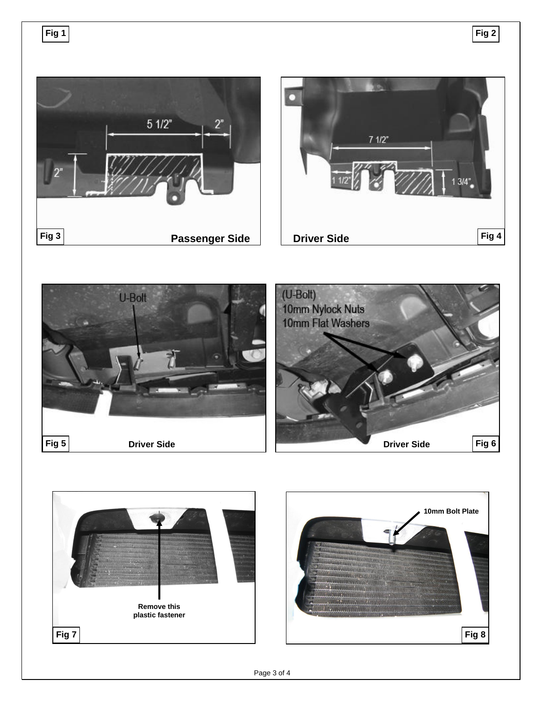